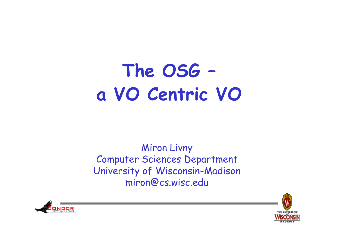## The OSG a VO Centric VO

**Miron Livny** Computer Sciences Department University of Wisconsin-Madison miron@cs.wisc.edu



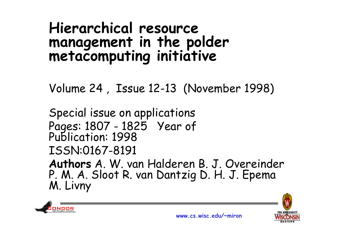# **Hierarchical resource management i th ld <sup>t</sup> in the polder metacomputing initiative**

Volume 24 , Issue 12 -13 (November 1998)

Special issue on applications Pages: 1807 - <sup>1825</sup> Year of Publication: <sup>1998</sup> ISSN:0167-8191 **Authors** A. W. van Halderen B. J. Overeinder P. M. A. Sloot R. van Dantzig D. H. J. Epema<br>M. Livny



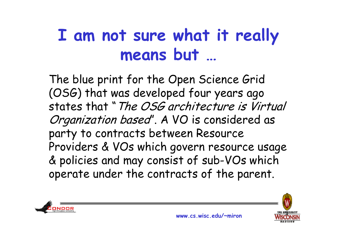### **<sup>I</sup> am not sure what it really really means but …**

The blue print for the Open Science Grid (OSG) that was developed four years ago states that "The OSG architecture is Virtual Organization based". A VO is considered as party to contracts between Resource Providers & VOs which govern resource usage & policies and may consist of sub-VOs which operate under the contracts of the parent.



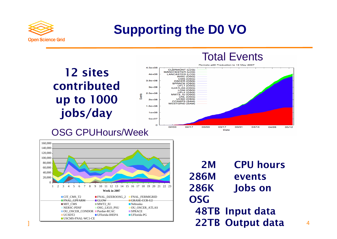

#### **Supporting the D0 VO**

**12 sites contributed up to 1000 jobs/day**



#### OSG CPUHours/Week



**2M CPU hours286Mevents 286K Jobs on OSG1 22TB Output data** 4 **48TB Input data**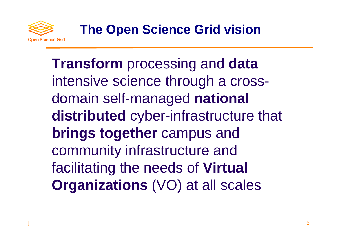

**Transform** processing and **data** intensive science through a crossdomain sel f-managed **national**  distributed cyber-infrastructure that **brings together** campus and community infrastructure and facilitatin g the needs of **Virtual Organizations** (VO) at all scales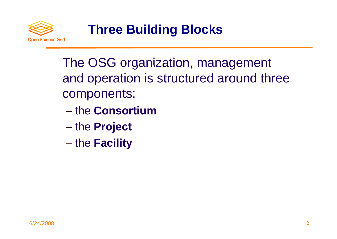

The OSG organization, management and operation is structured around three components:

- − the **Consortium**
- the **Project**
- − the **Facility**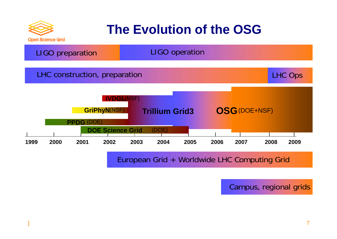

#### **The Evolution of the OSG**



European Grid + Worldwide LHC Computing Grid

Campus, regional grids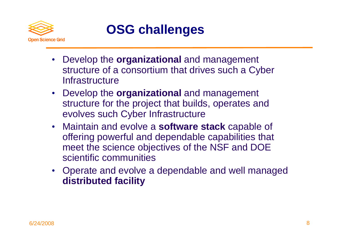

#### **OSG challenges**

- Develop the **organizational** and management structure of a consortium that drives such a Cyber **Infrastructure**
- Develop the **organizational** and management structure for the project that builds, operates and evolves such Cyber Infrastructure
- Maintain and evolve a **software stack** capable of offering powerful and dependable capabilities that meet the science objectives of the NSF and DOE scientific communities
- Operate and evolve <sup>a</sup> dependable and well managed **distributed facility**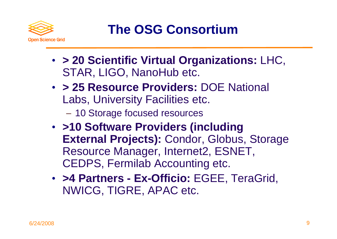

**The OSG Consortium**

- **> 20 Scientific Virtual Or ganizations:** LHC, STAR, LIGO, NanoHub etc.
- **> 25 Resource Providers:** DOE National Labs, University Facilities etc.
	- 10 Storage focused resources
- **>10 Software Providers (including External Projects):** Condor, Globus, Storage Resource Manager, Internet2, ESNET, CEDPS, Fermilab Accounting etc.
- **>4 Partners - Ex-Officio:** EGEE, TeraGrid, NWICG, TIGRE, APAC etc.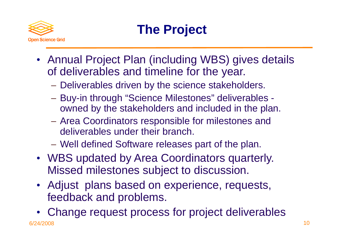

### **The Project**

- Annual Project Plan (including WBS) gives details of deliverables and timeline for the year.
	- −Deliverables driven by the science stakeholders.
	- Buy-in through "Science Milestones" deliverables owned by the stakeholders and included in the plan.
	- −- Area Coordinators responsible for milestones and deliverables under their branch.
	- Well defined Software releases part of the plan.
- WBS updated by Area Coordinators quarterly. Missed milestones subject to discussion.
- Adjust plans based on experience, requests, feedback and problems.

6/24/2008 10 • Change request process for project deliverables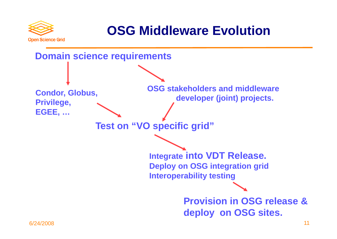

#### **OSG Middleware Evolution**

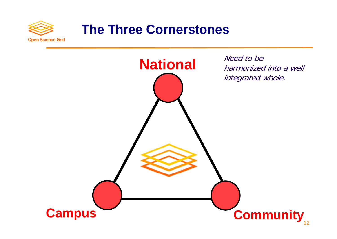

#### **The Three Cornerstones**

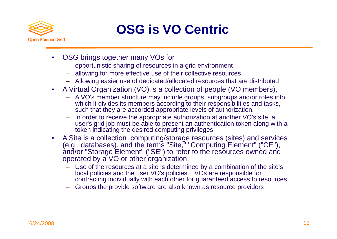

#### **OSG is VO Centric**

- $\bullet$  OSG brings together many VOs for
	- − opportunistic sharing of resources in <sup>a</sup> grid environment
	- − allowing for more effective use of their collective resources
	- − Allowing easier use of dedicated/allocated resources that are distributed
- $\bullet$ • A Virtual Organization (VO) is a collection of people (VO members),
	- − A VO's member structure may include groups, subgroups and/or roles into which it divides its members according to their responsibilities and tasks, such that they are accorded appropriate levels of authorization.
	- In order to receive the appropriate authorization at another VO's site, a<br>user's grid job must be able to present an authentication token along with a token indicating the desired computing privileges.
- $\bullet$  A Site is a collection computing/storage resources (sites) and services (e.g., databases). and the terms "Site," "Computing Element" ("CE"), and/or "Storage Element" ("SE") to refer to the resources owned and operated by a VO or other organization.
	- − Use of the resources at a site is determined by a combination of the site's local policies and the user VO's policies. VOs are responsible for contracting individually with each other for guaranteed access to resources.
	- − Groups the provide software are also known as resource providers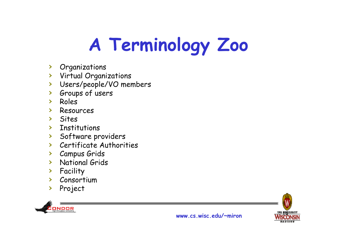# A Terminology Zoo

- > Organizations
- > Virtual Organizations
- > Users/people/VO members
- > Groups of users
- > Roles
- Resources  $\blacktriangleright$
- $\sum$  Sites
- Institutions  $\blacktriangleright$
- > Software providers
- > Certificate Authorities
- > Campus Grids
- > National Grids
- > Facility
- > Consortium
- > Project



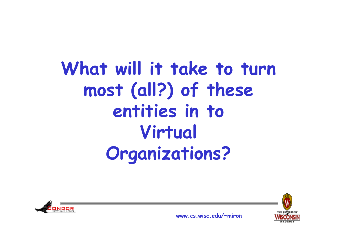### What will it take to turn most (all?) of these entities in to Virtual **Organizations?**





www cs wisc edu/~miron